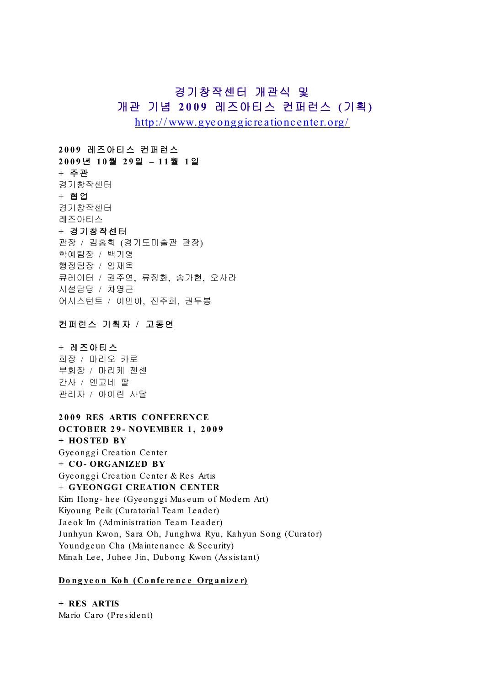## 경기창작센터 개관식 및 개관 기념 **2009** 레즈아티스 컨퍼런스 **(**기획**)**

http://www.gyeonggic reationcenter.org/

#### **2009** 레즈아티스 컨퍼런스

**2009** 년 **1 0** 월 **2 9** 일 **– 1 1** 월 **1** 일 **+** 주관 경기창작센터 **+** 협업 경기창작센터 레즈아티스 **+** 경기창작센터 관장 / 김홍희 (경기도미술관 관장) 학예팀장 / 백기영 행정팀장 / 임재옥 큐레이터 / 권주연, 류정화, 송가현, 오사라 시설담당 / 차영근 어시스턴트 / 이민아, 진주희, 권두봉

#### 컨퍼런스 기획자 **/** 고동연

#### **+** 레즈아티스

회장 / 마리오 카로 부회장 / 마리케 젠센 간사 / 엔고네 팔 관리자 / 아이린 사달

**2 0 0 9 RES ARTIS CONFERENCE OCTOBER 2 9 - NOVEMBER 1 , 2 0 0 9 + HOS TED BY** Gyeonggi Creation Center **+ CO- ORGANIZED BY** Gyeonggi Creation Center & Res Artis **+ GYEONGGI CREATION CENTER** Kim Hong- hee (Gyeonggi Museum of Modern Art) Kiyoung Peik (Curatorial Team Leader) Jaeok Im (Administration Team Leader) Junhyun Kwon, Sara Oh, Junghwa Ryu, Kahyun Song (Curator) Youndgeun Cha (Maintenance & Security) Minah Lee, Juhee Jin, Dubong Kwon (Assistant)

#### **Do ng ye o n Ko h ( Co nfe re nc e Org a niz e r)**

**+ RES ARTIS** Mario Caro (President)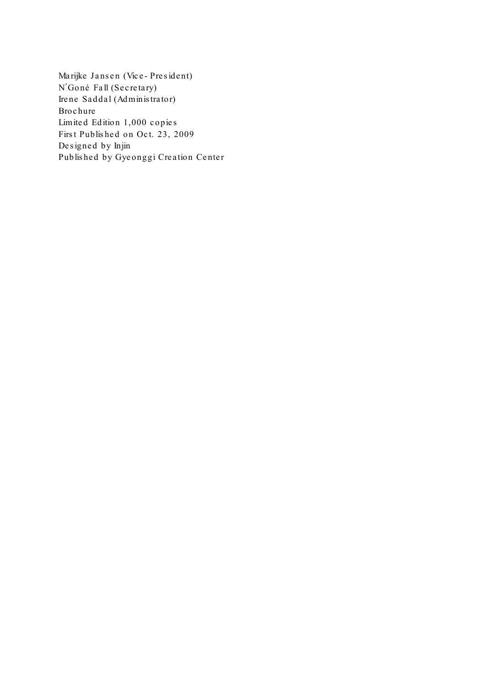Marijke Jansen (Vice-President) N'Goné Fall (Secretary) Irene Saddal (Administrator) Brochure Limited Edition 1,000 copies First Published on Oct. 23, 2009 Designed by Injin Published by Gyeonggi Creation Center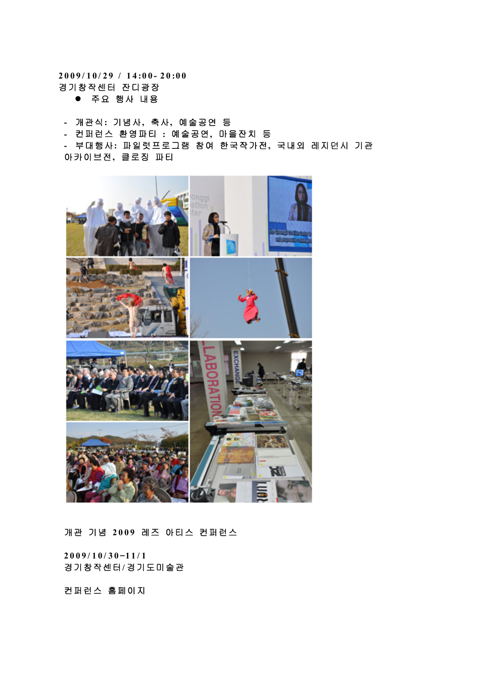**2009/ 10/ 29 / 14:00 - 20:00**

경기창작센터 잔디광장 ● 주요 행사 내용

## **-** 개관식**:** 기념사**,** 축사**,** 예술공연 등

**-** 컨퍼런스 환영파티 **:** 예술공연**,** 마을잔치 등

**-** 부대행사**:** 파일럿프로그램 참여 한국작가전**,** 국내외 레지던시 기관 아카이브전**,** 클로징 파티



개관 기념 **2009** 레즈 아티스 컨퍼런스

**2009/10/30** –**11/1** 경기창작센터**/** 경기도미술관

컨퍼런스 홈페이지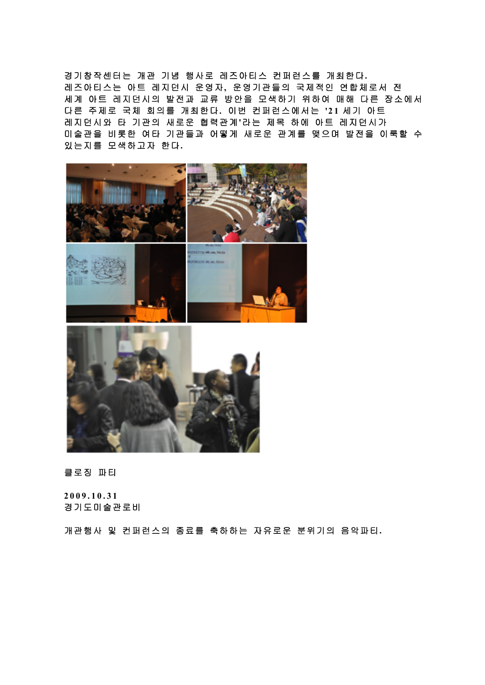경기창작센터는 개관 기념 행사로 레즈아티스 컨퍼런스를 개최한다**.**  레즈아티스는 아트 레지던시 운영자**,** 운영기관들의 국제적인 연합체로서 전 세계 아트 레지던시의 발전과 교류 방안을 모색하기 위하여 매해 다른 장소에서 다른 주제로 국체 회의를 개최한다**.** 이번 컨퍼런스에서는 **'21** 세기 아트 레지던시와 타 기관의 새로운 협력관계**'**라는 제목 하에 아트 레지던시가 미술관을 비롯한 여타 기관들과 어떻게 새로운 관계를 맺으며 발전을 이룩할 수 있는지를 모색하고자 한다**.**





클로징 파티

**2009.10.31** 경기도미술관로비

개관행사 및 컨퍼런스의 종료를 축하하는 자유로운 분위기의 음악파티**.**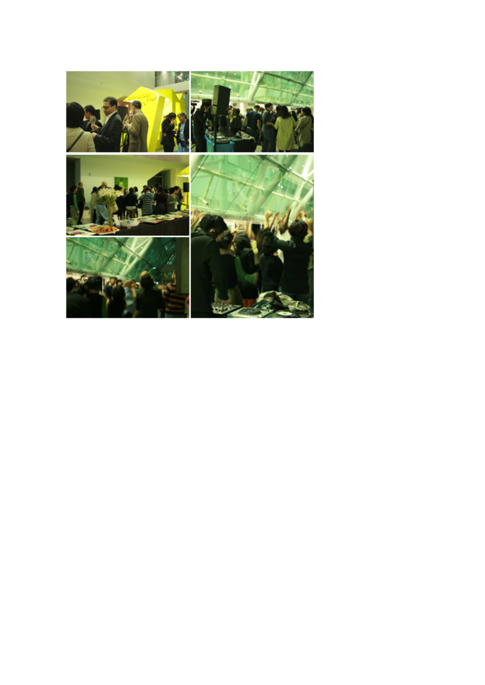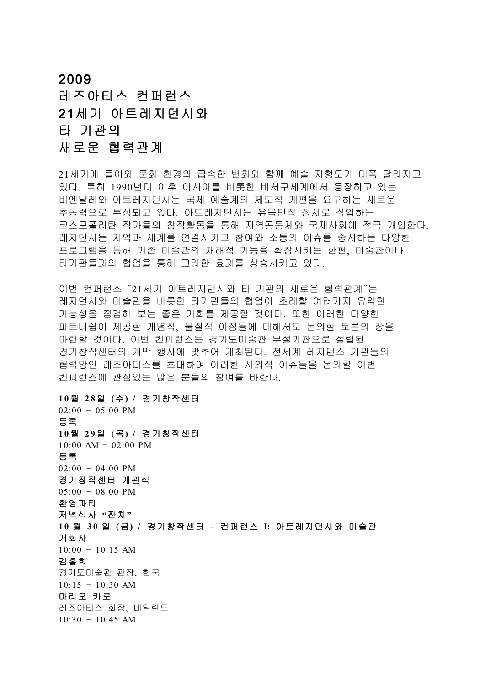# 2009 레즈아티스 컨퍼런스 21세기 아트레지던시와 타 기관의 새로운 협력관계

21세기에 들어와 문화 환경의 급속한 변화와 함께 예술 지형도가 대폭 달라지고 있다. 특히 1990년대 이후 아시아를 비롯한 비서구세계에서 등장하고 있는 비엔날레와 아트레지던시는 국제 예술계의 제도적 개편을 요구하는 새로운 추동력으로 부상되고 있다. 아트레지던시는 유목민적 정서로 작업하는 코스모폴리탄 작가들의 창작활동을 통해 지역공동체와 국제사회에 적극 개입한다. 레지던시는 지역과 세계를 연결시키고 참여와 소통의 이슈를 중시하는 다양한 프로그램을 통해 기존 미술관의 재래적 기능을 확장시키는 한편, 미술관이나 타기관들과의 협업을 통해 그러한 효과를 상승시키고 있다.

이번 컨퍼런스 "21세기 아트레지던시와 타 기관의 새로운 협력관계"는 레지던시와 미술관을 비롯한 타기관들의 협업이 초래할 여러가지 유익한 가능성을 점검해 보는 좋은 기회를 제공할 것이다. 또한 이러한 다양한 파트너쉽이 제공할 개념적, 물질적 이점들에 대해서도 논의할 토론의 장을 마련할 것이다. 이번 컨퍼런스는 경기도미술관 부설기관으로 설립된 경기창작센터의 개막 행사에 맞추어 개최된다. 전세계 레지던스 기관들의 협력망인 레즈아티스를 초대하여 이러한 시의적 이슈들을 논의할 이번 컨퍼런스에 관심있는 많은 분들의 참여를 바란다.

**1 0** 월 **2 8** 일 **(**수**) /** 경기창작센터  $02:00 - 05:00 \text{ PM}$ 등록 **1 0** 월 **2 9** 일 **(**목**) /** 경기창작센터  $10:00$  AM –  $02:00$  PM 등록  $02:00 - 04:00 \text{ PM}$ 경기창작센터 개관식  $05:00 - 08:00 \text{ PM}$ 환영파티 저녁식사 **"**잔치**" 1 0** 월 **3 0** 일 **(**금**) /** 경기창작센터 **–** 컨퍼런스 **I:** 아트레지던시와 미술관 개회사  $10:00 - 10:15$  AM 김홍희 경기도미술관 관장, 한국  $10:15 - 10:30$  AM 마리오 카로 레즈아티스 회장, 네덜란드  $10:30 - 10:45$  AM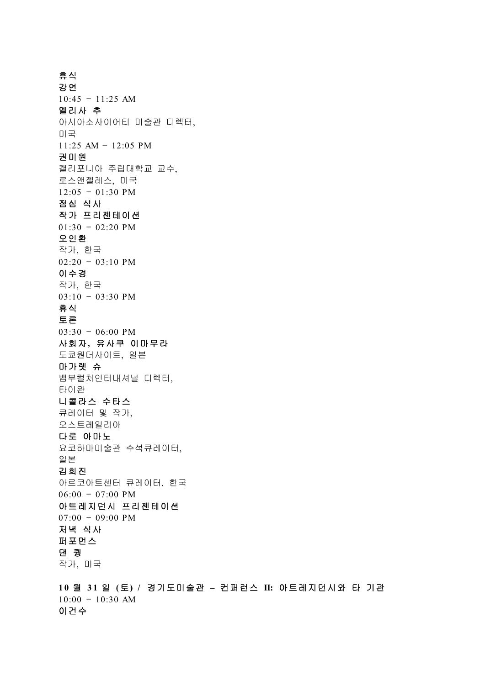휴식 강연 10:45 – 11:25 AM 멜리사 추 아시아소사이어티 미술관 디렉터, 미국 11:25 AM – 12:05 PM 권미원 캘리포니아 주립대학교 교수, 로스앤젤레스, 미국 12:05 – 01:30 PM 점심 식사 작가 프리젠테이션  $01:30 - 02:20$  PM 오인환 작가, 한국 02:20 – 03:10 PM 이수경 작가, 한국  $03:10 - 03:30 \text{ PM}$ 휴식 토론 03:30 – 06:00 PM 사회자**,** 유사쿠 이마무라 도쿄원더사이트, 일본 마가렛 슈 뱀부컬처인터내셔널 디렉터, 타이완 니콜라스 수타스 큐레이터 및 작가, 오스트레일리아 다로 아마노 요코하마미술관 수석큐레이터, 일본 김희진 아르코아트센터 큐레이터, 한국  $06:00 - 07:00 \text{ PM}$ 아트레지던시 프리젠테이션  $07:00 - 09:00 \text{ PM}$ 저녁 식사 퍼포먼스 댄 퀑 작가, 미국 **1 0** 월 **3 1** 일 **(**토**) /** 경기도미술관 **–** 컨퍼런스 **II:** 아트레지던시와 타 기관 10:00 – 10:30 AM 이건수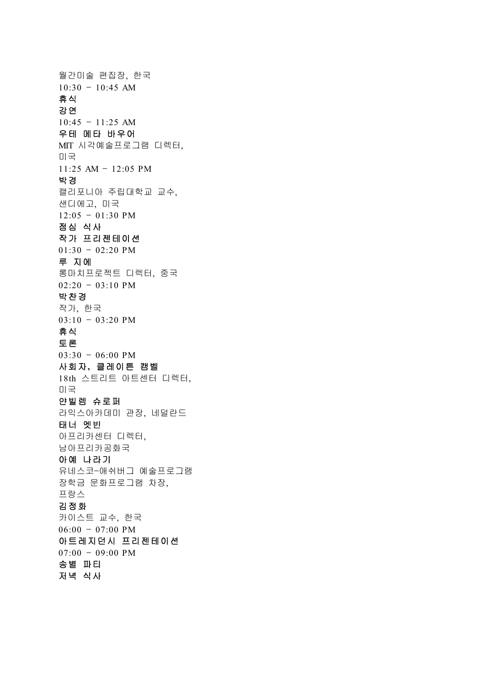월간미술 편집장, 한국  $10:30 - 10:45$  AM 휴식 강연  $10:45 - 11:25$  AM 우테 메타 바우어 MIT 시각예술프로그램 디렉터, 미국 11:25 AM – 12:05 PM 박경 캘리포니아 주립대학교 교수, 샌디에고, 미국 12:05 – 01:30 PM 점심 식사 작가 프리젠테이션  $01:30 - 02:20$  PM 루 지에 롱마치프로젝트 디렉터, 중국  $02:20 - 03:10 \text{ PM}$ 박찬경 작가, 한국 03:10 – 03:20 PM 휴식 토론  $03:30 - 06:00 \text{ PM}$ 사회자**,** 클레이튼 캠벨 18th 스트리트 아트센터 디렉터, 미국 얀빌렘 슈로퍼 라익스아카데미 관장, 네덜란드 태너 멧빈 아프리카센터 디렉터, 남아프리카공화국 아예 나라기 유네스코–애쉬버그 예술프로그램 장학금 문화프로그램 차장, 프랑스 김정화 카이스트 교수, 한국  $06:00 - 07:00 \text{ PM}$ 아트레지던시 프리젠테이션  $07:00 - 09:00 \text{ PM}$ 송별 파티 저녁 식사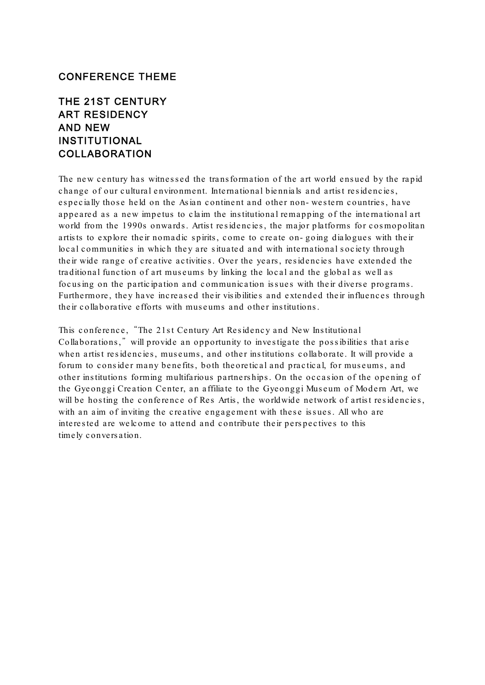## **CONFERENCE THEME**

## THE 21ST CENTURY **ART RESIDENCY AND NEW INSTITUTIONAL COLLABORATION**

The new century has witnessed the transformation of the art world ensued by the rapid change of our cultural environment. International biennials and artist residencies, especially those held on the Asian continent and other non-western countries, have appeared as a new impetus to claim the institutional remapping of the international art world from the 1990s onwards. Artist residencies, the major platforms for cosmopolitan artists to explore their nomadic spirits, come to create on-going dialogues with their local communities in which they are situated and with international society through their wide range of creative activities. Over the years, residencies have extended the traditional function of art museums by linking the local and the global as well as focusing on the participation and communication issues with their diverse programs. Furthermore, they have increased their visibilities and extended their influences through their collaborative efforts with museums and other institutions

This conference, "The 21st Century Art Residency and New Institutional Collaborations," will provide an opportunity to investigate the possibilities that arise when artist residencies, museums, and other institutions collaborate. It will provide a forum to consider many benefits, both theoretical and practical, for museums, and other institutions forming multifarious partnerships. On the occasion of the opening of the Gyeonggi Creation Center, an affiliate to the Gyeonggi Museum of Modern Art, we will be hosting the conference of Res Artis, the worldwide network of artist residencies, with an aim of inviting the creative engagement with these issues. All who are interested are welcome to attend and contribute their perspectives to this timely conversation.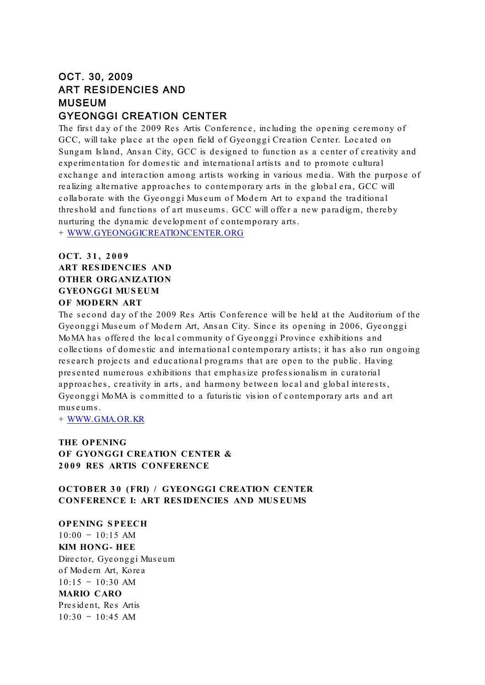## OCT. 30, 2009 ART RESIDENCIES AND MUSEUM

## GYEONGGI CREATION CENTER

The first day of the 2009 Res Artis Conference, including the opening ceremony of GCC, will take place at the open field of Gyeonggi Creation Center. Located on Sungam Island, Ans an City, GCC is designed to function as a center of creativity and e xpe rime nta tion for dome s tic a nd inte rna tiona l a rtis ts a nd to promote c ultura l exchange and interaction among artists working in various media. With the purpose of realizing alternative approaches to contemporary arts in the global era, GCC will collaborate with the Gyeonggi Museum of Modern Art to expand the traditional thre shold and functions of art museums. GCC will offer a new paradigm, thereby nurturing the dynamic development of contemporary arts.

+ WWW.GYEONGGICREATIONCENTER.ORG

### **OCT. 3 1 , 2 0 0 9 ART RES IDENCIES AND OTHER ORGANIZATION GYEONGGI MUS EUM OF MODERN ART**

The second day of the 2009 Res Artis Conference will be held at the Auditorium of the Gyeonggi Museum of Modern Art, Ansan City. Since its opening in 2006, Gyeonggi MoMA has offered the local community of Gyeonggi Province exhibitions and collections of domestic and international contemporary artists; it has also run ongoing re search projects and educational programs that are open to the public. Having presented numerous exhibitions that emphasize professionalism in curatorial approaches, creativity in arts, and harmony between local and global interests, Gye onggi MoMA is c ommitte d to a futuris tic vis ion of c onte mporary arts and art museums.

+ WWW.GMA.OR.KR

**THE OPENING OF GYONGGI CREATION CENTER & 2 0 0 9 RES ARTIS CONFERENCE**

### **OCTOBER 30 (FRI) / GYEONGGI CREATION CENTER CONFERENCE I: ART RES IDENCIES AND MUS EUMS**

**OPENING S PEECH**  $10:00 - 10:15$  AM **KIM HONG- HEE** Director, Gyeonggi Museum of Modern Art, Korea  $10:15 - 10:30$  AM **MARIO CARO** President, Res Artis  $10:30 - 10:45$  AM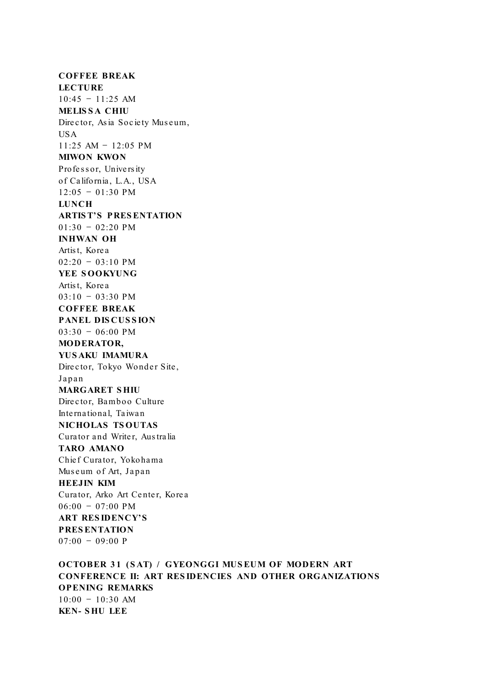**COFFEE BREAK LECTURE**  $10:45 - 11:25$  AM **MELIS S A CHIU** Dire c tor, As ia Soc ie ty Mus e um, USA 11:25 AM – 12:05 PM **MIWON KWON** Professor, University of California, L.A., USA 12:05 – 01:30 PM **LUNCH ARTIS T'S PRES ENTATION**  $01:30 - 02:20 \text{ PM}$ **INHWAN OH** Artis t, Kore a  $02:20 - 03:10$  PM **YEE S OOKYUNG** Artist, Korea  $03:10 - 03:30 \text{ PM}$ **COFFEE BREAK PANEL DIS CUS S ION**  $03:30 - 06:00 \text{ PM}$ **MODERATOR, YUS AKU IMAMURA** Director, Tokyo Wonder Site, Japan **MARGARET S HIU** Director, Bamboo Culture Inte rna tiona l, Ta iwa n **NICHOLAS TS OUTAS** Curator and Writer, Australia **TARO AMANO** Chief Curator, Yokohama Museum of Art, Japan **HEEJIN KIM** Curator, Arko Art Center, Korea  $06:00 - 07:00 \text{ PM}$ **ART RES IDENCY'S PRES ENTATION**  $07:00 - 09:00 \text{ P}$ 

**OCTOBER 31 (SAT) / GYEONGGI MUSEUM OF MODERN ART CONFERENCE II: ART RES IDENCIES AND OTHER ORGANIZATIONS OPENING REMARKS**  $10:00 - 10:30$  AM **KEN- S HU LEE**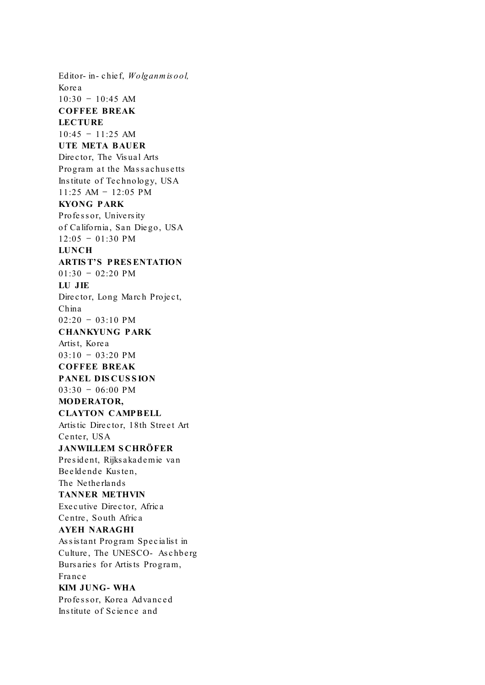Editor-in-chief, Wolganmisool, Korea  $10:30 - 10:45$  AM **COFFEE BREAK LECTURE**  $10:45 - 11:25$  AM **UTE META BAUER** Director. The Visual Arts Program at the Massachusetts Institute of Technology, USA  $11:25$  AM -  $12:05$  PM **KYONG PARK** Professor, University of California, San Diego, USA  $12:05 - 01:30 \text{ PM}$ **LUNCH ARTIST'S PRESENTATION**  $01:30 - 02:20 \text{ PM}$ LU JIE Director, Long March Project, China  $02:20 - 03:10 \text{ PM}$ **CHANKYUNG PARK** Artist, Korea  $03:10 - 03:20 \text{ PM}$ **COFFEE BREAK** PANEL DISCUSSION  $03.30 - 06.00 \text{ PM}$ **MODERATOR, CLAYTON CAMPBELL** Artistic Director, 18th Street Art Center, USA **JANWILLEM SCHRÖFER** President, Rijksakademie van Beeldende Kusten. The Netherlands **TANNER METHVIN** Executive Director, Africa Centre, South Africa **AYEH NARAGHI** Assistant Program Specialist in Culture, The UNESCO- Aschberg Bursaries for Artists Program, France **KIM JUNG-WHA** Professor, Korea Advanced Institute of Science and